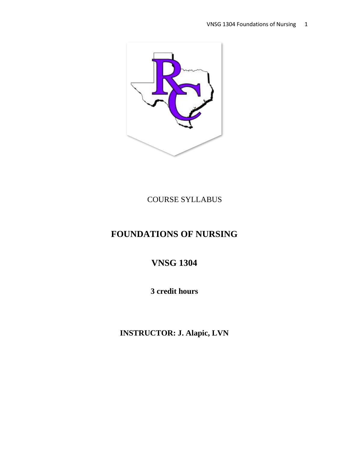

COURSE SYLLABUS

# **FOUNDATIONS OF NURSING**

**VNSG 1304** 

**3 credit hours**

**INSTRUCTOR: J. Alapic, LVN**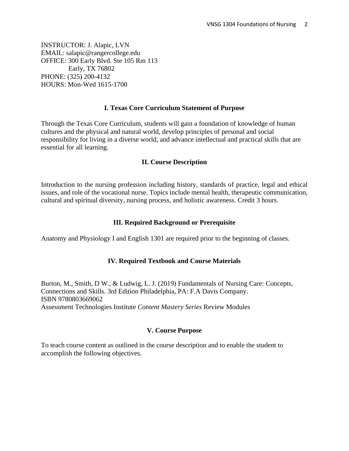INSTRUCTOR: J. Alapic, LVN EMAIL: salapic@rangercollege.edu OFFICE: 300 Early Blvd. Ste 105 Rm 113 Early, TX 76802 PHONE: (325) 200-4132 HOURS: Mon-Wed 1615-1700

#### **I. Texas Core Curriculum Statement of Purpose**

Through the Texas Core Curriculum, students will gain a foundation of knowledge of human cultures and the physical and natural world, develop principles of personal and social responsibility for living in a diverse world, and advance intellectual and practical skills that are essential for all learning.

#### **II. Course Description**

Introduction to the nursing profession including history, standards of practice, legal and ethical issues, and role of the vocational nurse. Topics include mental health, therapeutic communication, cultural and spiritual diversity, nursing process, and holistic awareness. Credit 3 hours.

#### **III. Required Background or Prerequisite**

Anatomy and Physiology I and English 1301 are required prior to the beginning of classes.

#### **IV. Required Textbook and Course Materials**

Burton, M., Smith, D W., & Ludwig, L. J. (2019) Fundamentals of Nursing Care: Concepts, Connections and Skills. 3rd Edition Philadelphia, PA: F.A Davis Company. ISBN 9780803669062 Assessment Technologies Institute *Content Mastery Series* Review Modules

#### **V. Course Purpose**

To teach course content as outlined in the course description and to enable the student to accomplish the following objectives.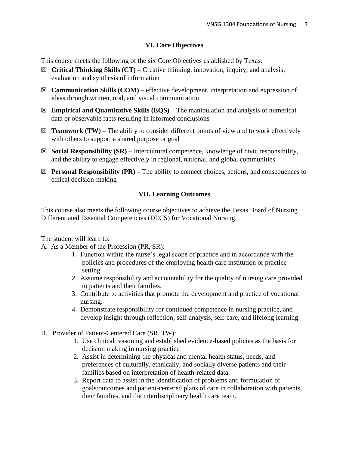## **VI. Core Objectives**

This course meets the following of the six Core Objectives established by Texas:

- ☒ **Critical Thinking Skills (CT) –** Creative thinking, innovation, inquiry, and analysis; evaluation and synthesis of information
- ☒ **Communication Skills (COM) –** effective development, interpretation and expression of ideas through written, oral, and visual communication
- ☒ **Empirical and Quantitative Skills (EQS) –** The manipulation and analysis of numerical data or observable facts resulting in informed conclusions
- $\boxtimes$  **Teamwork (TW)** The ability to consider different points of view and to work effectively with others to support a shared purpose or goal
- ☒ **Social Responsibility (SR) –** Intercultural competence, knowledge of civic responsibility, and the ability to engage effectively in regional, national, and global communities
- ☒ **Personal Responsibility (PR) –** The ability to connect choices, actions, and consequences to ethical decision-making

#### **VII. Learning Outcomes**

This course also meets the following course objectives to achieve the Texas Board of Nursing Differentiated Essential Competencies (DECS) for Vocational Nursing.

The student will learn to:

A. As a Member of the Profession (PR, SR):

- 1. Function within the nurse's legal scope of practice and in accordance with the policies and procedures of the employing health care institution or practice setting.
- 2. Assume responsibility and accountability for the quality of nursing care provided to patients and their families.
- 3. Contribute to activities that promote the development and practice of vocational nursing.
- 4. Demonstrate responsibility for continued competence in nursing practice, and develop insight through reflection, self-analysis, self-care, and lifelong learning.
- B. Provider of Patient-Centered Care (SR, TW):
	- 1. Use clinical reasoning and established evidence-based policies as the basis for decision making in nursing practice
	- 2. Assist in determining the physical and mental health status, needs, and preferences of culturally, ethnically, and socially diverse patients and their families based on interpretation of health-related data.
	- 3. Report data to assist in the identification of problems and formulation of goals/outcomes and patient-centered plans of care in collaboration with patients, their families, and the interdisciplinary health care team.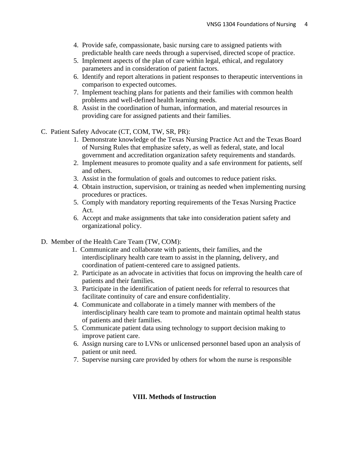- 4. Provide safe, compassionate, basic nursing care to assigned patients with predictable health care needs through a supervised, directed scope of practice.
- 5. Implement aspects of the plan of care within legal, ethical, and regulatory parameters and in consideration of patient factors.
- 6. Identify and report alterations in patient responses to therapeutic interventions in comparison to expected outcomes.
- 7. Implement teaching plans for patients and their families with common health problems and well-defined health learning needs.
- 8. Assist in the coordination of human, information, and material resources in providing care for assigned patients and their families.
- C. Patient Safety Advocate (CT, COM, TW, SR, PR):
	- 1. Demonstrate knowledge of the Texas Nursing Practice Act and the Texas Board of Nursing Rules that emphasize safety, as well as federal, state, and local government and accreditation organization safety requirements and standards.
	- 2. Implement measures to promote quality and a safe environment for patients, self and others.
	- 3. Assist in the formulation of goals and outcomes to reduce patient risks.
	- 4. Obtain instruction, supervision, or training as needed when implementing nursing procedures or practices.
	- 5. Comply with mandatory reporting requirements of the Texas Nursing Practice Act.
	- 6. Accept and make assignments that take into consideration patient safety and organizational policy.
- D. Member of the Health Care Team (TW, COM):
	- 1. Communicate and collaborate with patients, their families, and the interdisciplinary health care team to assist in the planning, delivery, and coordination of patient-centered care to assigned patients.
	- 2. Participate as an advocate in activities that focus on improving the health care of patients and their families.
	- 3. Participate in the identification of patient needs for referral to resources that facilitate continuity of care and ensure confidentiality.
	- 4. Communicate and collaborate in a timely manner with members of the interdisciplinary health care team to promote and maintain optimal health status of patients and their families.
	- 5. Communicate patient data using technology to support decision making to improve patient care.
	- 6. Assign nursing care to LVNs or unlicensed personnel based upon an analysis of patient or unit need.
	- 7. Supervise nursing care provided by others for whom the nurse is responsible

## **VIII. Methods of Instruction**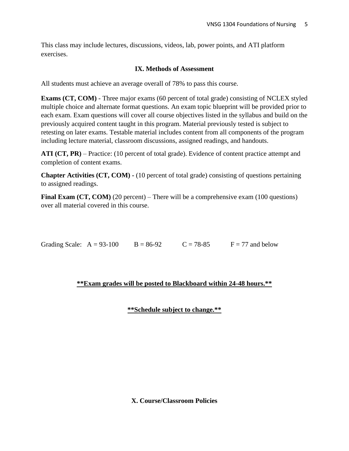This class may include lectures, discussions, videos, lab, power points, and ATI platform exercises.

## **IX. Methods of Assessment**

All students must achieve an average overall of 78% to pass this course.

**Exams (CT, COM)** - Three major exams (60 percent of total grade) consisting of NCLEX styled multiple choice and alternate format questions. An exam topic blueprint will be provided prior to each exam. Exam questions will cover all course objectives listed in the syllabus and build on the previously acquired content taught in this program. Material previously tested is subject to retesting on later exams. Testable material includes content from all components of the program including lecture material, classroom discussions, assigned readings, and handouts.

**ATI (CT, PR)** – Practice: (10 percent of total grade). Evidence of content practice attempt and completion of content exams.

**Chapter Activities (CT, COM) -** (10 percent of total grade) consisting of questions pertaining to assigned readings.

**Final Exam (CT, COM)** (20 percent) – There will be a comprehensive exam (100 questions) over all material covered in this course.

Grading Scale:  $A = 93-100$   $B = 86-92$   $C = 78-85$   $F = 77$  and below

## **\*\*Exam grades will be posted to Blackboard within 24-48 hours.\*\***

## **\*\*Schedule subject to change.\*\***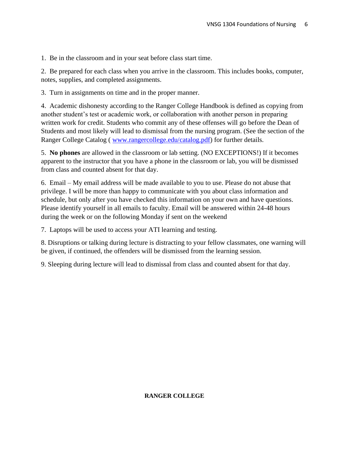1. Be in the classroom and in your seat before class start time.

2. Be prepared for each class when you arrive in the classroom. This includes books, computer, notes, supplies, and completed assignments.

3. Turn in assignments on time and in the proper manner.

4. Academic dishonesty according to the Ranger College Handbook is defined as copying from another student's test or academic work, or collaboration with another person in preparing written work for credit. Students who commit any of these offenses will go before the Dean of Students and most likely will lead to dismissal from the nursing program. (See the section of the Ranger College Catalog ( [www.rangercollege.edu/catalog.pdf\)](http://www.rangercollege.edu/catalog.pdf) for further details.

5. **No phones** are allowed in the classroom or lab setting. (NO EXCEPTIONS!) If it becomes apparent to the instructor that you have a phone in the classroom or lab, you will be dismissed from class and counted absent for that day.

6. Email – My email address will be made available to you to use. Please do not abuse that privilege. I will be more than happy to communicate with you about class information and schedule, but only after you have checked this information on your own and have questions. Please identify yourself in all emails to faculty. Email will be answered within 24-48 hours during the week or on the following Monday if sent on the weekend

7. Laptops will be used to access your ATI learning and testing.

8. Disruptions or talking during lecture is distracting to your fellow classmates, one warning will be given, if continued, the offenders will be dismissed from the learning session.

9. Sleeping during lecture will lead to dismissal from class and counted absent for that day.

#### **RANGER COLLEGE**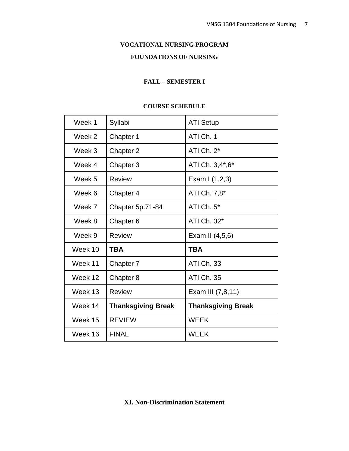## **VOCATIONAL NURSING PROGRAM**

## **FOUNDATIONS OF NURSING**

#### **FALL – SEMESTER I**

#### **COURSE SCHEDULE**

| Week 1  | Syllabi                   | <b>ATI Setup</b>          |
|---------|---------------------------|---------------------------|
| Week 2  | Chapter 1                 | ATI Ch. 1                 |
| Week 3  | Chapter 2                 | ATI Ch. 2*                |
| Week 4  | Chapter 3                 | ATI Ch. 3,4*,6*           |
| Week 5  | <b>Review</b>             | Exam I (1,2,3)            |
| Week 6  | Chapter 4                 | ATI Ch. 7,8*              |
| Week 7  | Chapter 5p.71-84          | ATI Ch. $5*$              |
| Week 8  | Chapter <sub>6</sub>      | ATI Ch. 32*               |
| Week 9  | <b>Review</b>             | Exam II (4,5,6)           |
| Week 10 | <b>TBA</b>                | <b>TBA</b>                |
| Week 11 | Chapter 7                 | ATI Ch. 33                |
| Week 12 | Chapter 8                 | <b>ATI Ch. 35</b>         |
| Week 13 | <b>Review</b>             | Exam III (7,8,11)         |
| Week 14 | <b>Thanksgiving Break</b> | <b>Thanksgiving Break</b> |
| Week 15 | <b>REVIEW</b>             | <b>WEEK</b>               |
| Week 16 | <b>FINAL</b>              | <b>WEEK</b>               |

**XI. Non-Discrimination Statement**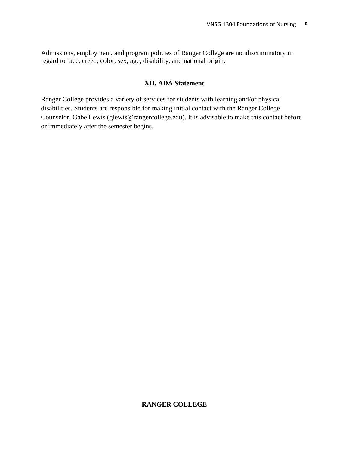Admissions, employment, and program policies of Ranger College are nondiscriminatory in regard to race, creed, color, sex, age, disability, and national origin.

#### **XII. ADA Statement**

Ranger College provides a variety of services for students with learning and/or physical disabilities. Students are responsible for making initial contact with the Ranger College Counselor, Gabe Lewis (glewis@rangercollege.edu). It is advisable to make this contact before or immediately after the semester begins.

## **RANGER COLLEGE**